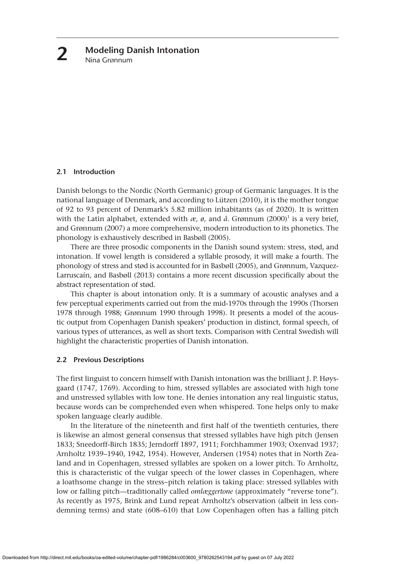## **2.1 Introduction**

Danish belongs to the Nordic (North Germanic) group of Germanic languages. It is the national language of Denmark, and according to Lützen (2010), it is the mother tongue of 92 to 93 percent of Denmark's 5.82 million inhabitants (as of 2020). It is written with the Latin alphabet, extended with  $\alpha$ ,  $\beta$ , and  $\mathring{a}$ . Grønnum (2000)<sup>1</sup> is a very brief, and Grønnum (2007) a more comprehensive, modern introduction to its phonetics. The phonology is exhaustively described in Basbøll (2005).

There are three prosodic components in the Danish sound system: stress, stød, and intonation. If vowel length is considered a syllable prosody, it will make a fourth. The phonology of stress and stød is accounted for in Basbøll (2005), and Grønnum, Vazquez-Larruscaín, and Basbøll (2013) contains a more recent discussion specifically about the abstract representation of stød.

This chapter is about intonation only. It is a summary of acoustic analyses and a few perceptual experiments carried out from the mid-1970s through the 1990s (Thorsen 1978 through 1988; Grønnum 1990 through 1998). It presents a model of the acoustic output from Copenhagen Danish speakers' production in distinct, formal speech, of various types of utterances, as well as short texts. Comparison with Central Swedish will highlight the characteristic properties of Danish intonation.

# **2.2 Previous Descriptions**

The first linguist to concern himself with Danish intonation was the brilliant J. P. Høysgaard (1747, 1769). According to him, stressed syllables are associated with high tone and unstressed syllables with low tone. He denies intonation any real linguistic status, because words can be comprehended even when whispered. Tone helps only to make spoken language clearly audible.

In the literature of the nineteenth and first half of the twentieth centuries, there is likewise an almost general consensus that stressed syllables have high pitch (Jensen 1833; Sneedorff-Birch 1835; Jerndorff 1897, 1911; Forchhammer 1903; Oxenvad 1937; Arnholtz 1939–1940, 1942, 1954). However, Andersen (1954) notes that in North Zealand and in Copenhagen, stressed syllables are spoken on a lower pitch. To Arnholtz, this is characteristic of the vulgar speech of the lower classes in Copenhagen, where a loathsome change in the stress~pitch relation is taking place: stressed syllables with low or falling pitch—traditionally called *omlæggertone* (approximately "reverse tone"). As recently as 1975, Brink and Lund repeat Arnholtz's observation (albeit in less condemning terms) and state (608–610) that Low Copenhagen often has a falling pitch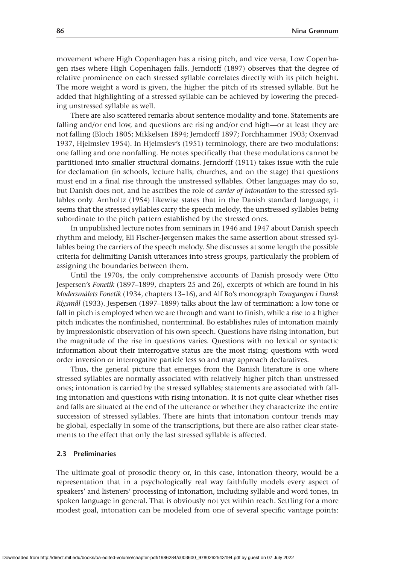movement where High Copenhagen has a rising pitch, and vice versa, Low Copenhagen rises where High Copenhagen falls. Jerndorff (1897) observes that the degree of relative prominence on each stressed syllable correlates directly with its pitch height. The more weight a word is given, the higher the pitch of its stressed syllable. But he added that highlighting of a stressed syllable can be achieved by lowering the preceding unstressed syllable as well.

There are also scattered remarks about sentence modality and tone. Statements are falling and/or end low, and questions are rising and/or end high—or at least they are not falling (Bloch 1805; Mikkelsen 1894; Jerndorff 1897; Forchhammer 1903; Oxenvad 1937, Hjelmslev 1954). In Hjelmslev's (1951) terminology, there are two modulations: one falling and one nonfalling. He notes specifically that these modulations cannot be partitioned into smaller structural domains. Jerndorff (1911) takes issue with the rule for declamation (in schools, lecture halls, churches, and on the stage) that questions must end in a final rise through the unstressed syllables. Other languages may do so, but Danish does not, and he ascribes the role of *carrier of intonation* to the stressed syllables only. Arnholtz (1954) likewise states that in the Danish standard language, it seems that the stressed syllables carry the speech melody, the unstressed syllables being subordinate to the pitch pattern established by the stressed ones.

In unpublished lecture notes from seminars in 1946 and 1947 about Danish speech rhythm and melody, Eli Fischer-Jørgensen makes the same assertion about stressed syllables being the carriers of the speech melody. She discusses at some length the possible criteria for delimiting Danish utterances into stress groups, particularly the problem of assigning the boundaries between them.

Until the 1970s, the only comprehensive accounts of Danish prosody were Otto Jespersen's *Fonetik* (1897–1899, chapters 25 and 26), excerpts of which are found in his *Modersmålets Fonetik* (1934, chapters 13–16), and Alf Bo's monograph *Tonegangen i Dansk Rigsmål* (1933). Jespersen (1897–1899) talks about the law of termination: a low tone or fall in pitch is employed when we are through and want to finish, while a rise to a higher pitch indicates the nonfinished, nonterminal. Bo establishes rules of intonation mainly by impressionistic observation of his own speech. Questions have rising intonation, but the magnitude of the rise in questions varies. Questions with no lexical or syntactic information about their interrogative status are the most rising; questions with word order inversion or interrogative particle less so and may approach declaratives.

Thus, the general picture that emerges from the Danish literature is one where stressed syllables are normally associated with relatively higher pitch than unstressed ones; intonation is carried by the stressed syllables; statements are associated with falling intonation and questions with rising intonation. It is not quite clear whether rises and falls are situated at the end of the utterance or whether they characterize the entire succession of stressed syllables. There are hints that intonation contour trends may be global, especially in some of the transcriptions, but there are also rather clear statements to the effect that only the last stressed syllable is affected.

# **2.3 Preliminaries**

The ultimate goal of prosodic theory or, in this case, intonation theory, would be a representation that in a psychologically real way faithfully models every aspect of speakers' and listeners' processing of intonation, including syllable and word tones, in spoken language in general. That is obviously not yet within reach. Settling for a more modest goal, intonation can be modeled from one of several specific vantage points: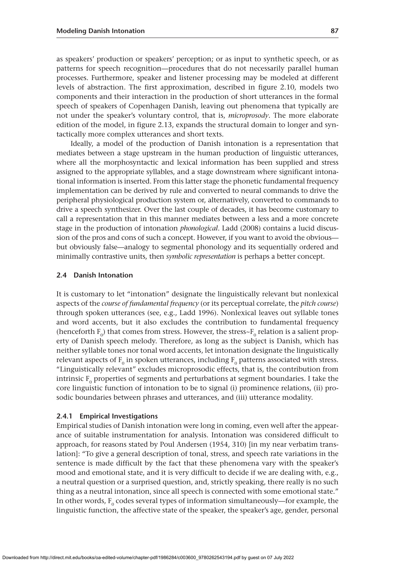as speakers' production or speakers' perception; or as input to synthetic speech, or as patterns for speech recognition—procedures that do not necessarily parallel human processes. Furthermore, speaker and listener processing may be modeled at different levels of abstraction. The first approximation, described in figure 2.10, models two components and their interaction in the production of short utterances in the formal speech of speakers of Copenhagen Danish, leaving out phenomena that typically are not under the speaker's voluntary control, that is, *microprosody*. The more elaborate edition of the model, in figure 2.13, expands the structural domain to longer and syntactically more complex utterances and short texts.

Ideally, a model of the production of Danish intonation is a representation that mediates between a stage upstream in the human production of linguistic utterances, where all the morphosyntactic and lexical information has been supplied and stress assigned to the appropriate syllables, and a stage downstream where significant intonational information is inserted. From this latter stage the phonetic fundamental frequency implementation can be derived by rule and converted to neural commands to drive the peripheral physiological production system or, alternatively, converted to commands to drive a speech synthesizer. Over the last couple of decades, it has become customary to call a representation that in this manner mediates between a less and a more concrete stage in the production of intonation *phonological*. Ladd (2008) contains a lucid discussion of the pros and cons of such a concept. However, if you want to avoid the obvious but obviously false—analogy to segmental phonology and its sequentially ordered and minimally contrastive units, then *symbolic representation* is perhaps a better concept.

#### **2.4 Danish Intonation**

It is customary to let "intonation" designate the linguistically relevant but nonlexical aspects of the *course of fundamental frequency* (or its perceptual correlate, the *pitch course*) through spoken utterances (see, e.g., Ladd 1996). Nonlexical leaves out syllable tones and word accents, but it also excludes the contribution to fundamental frequency (henceforth  $F_0$ ) that comes from stress. However, the stress~ $F_0$  relation is a salient property of Danish speech melody. Therefore, as long as the subject is Danish, which has neither syllable tones nor tonal word accents, let intonation designate the linguistically relevant aspects of  $F_0$  in spoken utterances, including  $F_0$  patterns associated with stress. "Linguistically relevant" excludes microprosodic effects, that is, the contribution from intrinsic  $F_0$  properties of segments and perturbations at segment boundaries. I take the core linguistic function of intonation to be to signal (i) prominence relations, (ii) prosodic boundaries between phrases and utterances, and (iii) utterance modality.

## **2.4.1 Empirical Investigations**

Empirical studies of Danish intonation were long in coming, even well after the appearance of suitable instrumentation for analysis. Intonation was considered difficult to approach, for reasons stated by Poul Andersen (1954, 310) [in my near verbatim translation]: "To give a general description of tonal, stress, and speech rate variations in the sentence is made difficult by the fact that these phenomena vary with the speaker's mood and emotional state, and it is very difficult to decide if we are dealing with, e.g., a neutral question or a surprised question, and, strictly speaking, there really is no such thing as a neutral intonation, since all speech is connected with some emotional state." In other words,  $F_0$  codes several types of information simultaneously—for example, the linguistic function, the affective state of the speaker, the speaker's age, gender, personal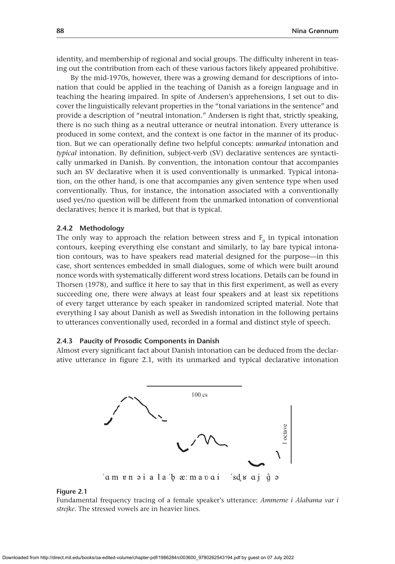identity, and membership of regional and social groups. The difficulty inherent in teasing out the contribution from each of these various factors likely appeared prohibitive.

By the mid-1970s, however, there was a growing demand for descriptions of intonation that could be applied in the teaching of Danish as a foreign language and in teaching the hearing impaired. In spite of Andersen's apprehensions, I set out to discover the linguistically relevant properties in the "tonal variations in the sentence" and provide a description of "neutral intonation." Andersen is right that, strictly speaking, there is no such thing as a neutral utterance or neutral intonation. Every utterance is produced in some context, and the context is one factor in the manner of its production. But we can operationally define two helpful concepts: *unmarked* intonation and *typical* intonation. By definition, subject-verb (SV) declarative sentences are syntactically unmarked in Danish. By convention, the intonation contour that accompanies such an SV declarative when it is used conventionally is unmarked. Typical intonation, on the other hand, is one that accompanies any given sentence type when used conventionally. Thus, for instance, the intonation associated with a conventionally used yes/no question will be different from the unmarked intonation of conventional declaratives; hence it is marked, but that is typical.

#### **2.4.2 Methodology**

The only way to approach the relation between stress and  $F_0$  in typical intonation contours, keeping everything else constant and similarly, to lay bare typical intonation contours, was to have speakers read material designed for the purpose—in this case, short sentences embedded in small dialogues, some of which were built around nonce words with systematically different word stress locations. Details can be found in Thorsen (1978), and suffice it here to say that in this first experiment, as well as every succeeding one, there were always at least four speakers and at least six repetitions of every target utterance by each speaker in randomized scripted material. Note that everything I say about Danish as well as Swedish intonation in the following pertains to utterances conventionally used, recorded in a formal and distinct style of speech.

## **2.4.3 Paucity of Prosodic Components in Danish**

Almost every significant fact about Danish intonation can be deduced from the declarative utterance in figure 2.1, with its unmarked and typical declarative intonation



#### **Figure 2.1**

Fundamental frequency tracing of a female speaker's utterance: *Ammerne i Alabama var i strejke*. The stressed vowels are in heavier lines.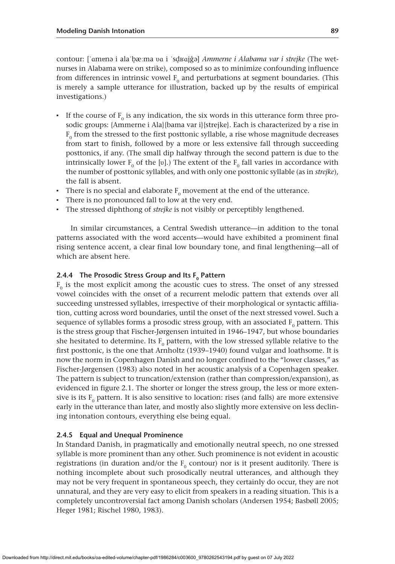contour: [ˈɑmɐnə i alaˈbæːma ʋɑ i ˈsdʁɑj˜ə] *Ammerne i Alabama var i strejke* (The wetnurses in Alabama were on strike), composed so as to minimize confounding influence from differences in intrinsic vowel  $F_0$  and perturbations at segment boundaries. (This is merely a sample utterance for illustration, backed up by the results of empirical investigations.)

- $\blacksquare$  If the course of  $F_0$  is any indication, the six words in this utterance form three prosodic groups: {Ammerne i Ala}{bama var i}{strejke}. Each is characterized by a rise in  $F<sub>0</sub>$  from the stressed to the first posttonic syllable, a rise whose magnitude decreases from start to finish, followed by a more or less extensive fall through succeeding posttonics, if any. (The small dip halfway through the second pattern is due to the intrinsically lower  $F_0$  of the [v].) The extent of the  $F_0$  fall varies in accordance with the number of posttonic syllables, and with only one posttonic syllable (as in *strejke*), the fall is absent.
- There is no special and elaborate  $F_0$  movement at the end of the utterance.
- There is no pronounced fall to low at the very end.
- The stressed diphthong of *strejke* is not visibly or perceptibly lengthened.

In similar circumstances, a Central Swedish utterance—in addition to the tonal patterns associated with the word accents—would have exhibited a prominent final rising sentence accent, a clear final low boundary tone, and final lengthening—all of which are absent here.

# **2.4.4** The Prosodic Stress Group and Its F<sub>0</sub> Pattern

 $F<sub>0</sub>$  is the most explicit among the acoustic cues to stress. The onset of any stressed vowel coincides with the onset of a recurrent melodic pattern that extends over all succeeding unstressed syllables, irrespective of their morphological or syntactic affiliation, cutting across word boundaries, until the onset of the next stressed vowel. Such a sequence of syllables forms a prosodic stress group, with an associated  $F_0$  pattern. This is the stress group that Fischer-Jørgensen intuited in 1946–1947, but whose boundaries she hesitated to determine. Its  $F_0$  pattern, with the low stressed syllable relative to the first posttonic, is the one that Arnholtz (1939–1940) found vulgar and loathsome. It is now the norm in Copenhagen Danish and no longer confined to the "lower classes," as Fischer-Jørgensen (1983) also noted in her acoustic analysis of a Copenhagen speaker. The pattern is subject to truncation/extension (rather than compression/expansion), as evidenced in figure 2.1. The shorter or longer the stress group, the less or more extensive is its  $F_0$  pattern. It is also sensitive to location: rises (and falls) are more extensive early in the utterance than later, and mostly also slightly more extensive on less declining intonation contours, everything else being equal.

## **2.4.5 Equal and Unequal Prominence**

In Standard Danish, in pragmatically and emotionally neutral speech, no one stressed syllable is more prominent than any other. Such prominence is not evident in acoustic registrations (in duration and/or the  $F_0$  contour) nor is it present auditorily. There is nothing incomplete about such prosodically neutral utterances, and although they may not be very frequent in spontaneous speech, they certainly do occur, they are not unnatural, and they are very easy to elicit from speakers in a reading situation. This is a completely uncontroversial fact among Danish scholars (Andersen 1954; Basbøll 2005; Heger 1981; Rischel 1980, 1983).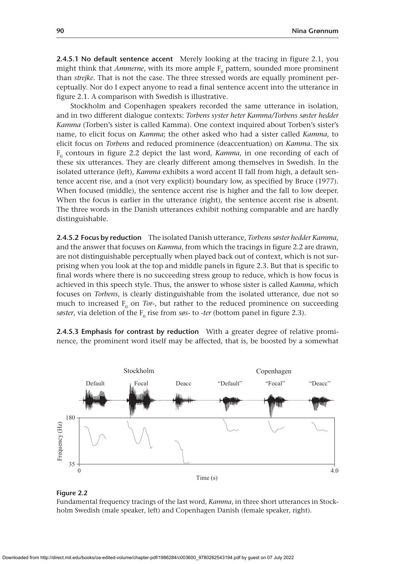**2.4.5.1 No default sentence accent** Merely looking at the tracing in figure 2.1, you might think that *Ammerne*, with its more ample F<sub>0</sub> pattern, sounded more prominent than *strejke*. That is not the case. The three stressed words are equally prominent perceptually. Nor do I expect anyone to read a final sentence accent into the utterance in figure 2.1. A comparison with Swedish is illustrative.

Stockholm and Copenhagen speakers recorded the same utterance in isolation, and in two different dialogue contexts: *Torbens syster heter Kamma/Torbens søster hedder Kamma* (Torben's sister is called Kamma). One context inquired about Torben's sister's name, to elicit focus on *Kamma*; the other asked who had a sister called *Kamma*, to elicit focus on *Torbens* and reduced prominence (deaccentuation) on *Kamma*. The six  $F<sub>0</sub>$  contours in figure 2.2 depict the last word, *Kamma*, in one recording of each of these six utterances. They are clearly different among themselves in Swedish. In the isolated utterance (left), *Kamma* exhibits a word accent II fall from high, a default sentence accent rise, and a (not very explicit) boundary low, as specified by Bruce (1977). When focused (middle), the sentence accent rise is higher and the fall to low deeper. When the focus is earlier in the utterance (right), the sentence accent rise is absent. The three words in the Danish utterances exhibit nothing comparable and are hardly distinguishable.

**2.4.5.2 Focus by reduction** The isolated Danish utterance, *Torbens søster hedder Kamma*, and the answer that focuses on *Kamma*, from which the tracings in figure 2.2 are drawn, are not distinguishable perceptually when played back out of context, which is not surprising when you look at the top and middle panels in figure 2.3. But that is specific to final words where there is no succeeding stress group to reduce, which is how focus is achieved in this speech style. Thus, the answer to whose sister is called *Kamma*, which focuses on *Torbens*, is clearly distinguishable from the isolated utterance, due not so much to increased  $F_0$  on *Tor-*, but rather to the reduced prominence on succeeding *søster*, via deletion of the F<sub>0</sub> rise from *søs-* to *-ter* (bottom panel in figure 2.3).

**2.4.5.3 Emphasis for contrast by reduction** With a greater degree of relative prominence, the prominent word itself may be affected, that is, be boosted by a somewhat



## **Figure 2.2**

Fundamental frequency tracings of the last word, *Kamma*, in three short utterances in Stockholm Swedish (male speaker, left) and Copenhagen Danish (female speaker, right).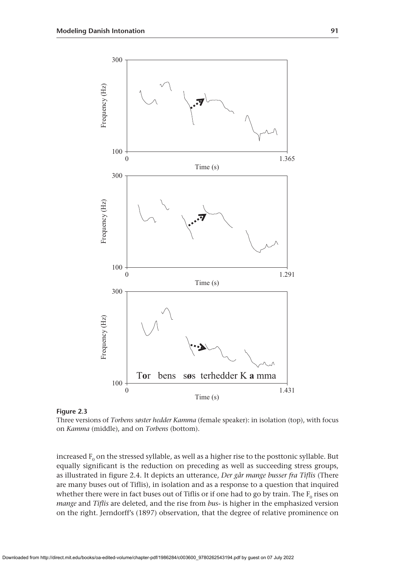

**Figure 2.3**

Three versions of *Torbens søster hedder Kamma* (female speaker): in isolation (top), with focus on *Kamma* (middle), and on *Torbens* (bottom).

increased  $F_0$  on the stressed syllable, as well as a higher rise to the posttonic syllable. But equally significant is the reduction on preceding as well as succeeding stress groups, as illustrated in figure 2.4. It depicts an utterance, *Der går mange busser fra Tiflis* (There are many buses out of Tiflis), in isolation and as a response to a question that inquired whether there were in fact buses out of Tiflis or if one had to go by train. The  $F_0$  rises on *mange* and *Tiflis* are deleted, and the rise from *bus-* is higher in the emphasized version on the right. Jerndorff's (1897) observation, that the degree of relative prominence on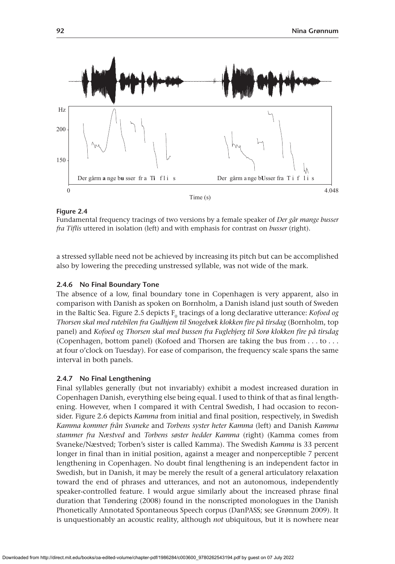

Fundamental frequency tracings of two versions by a female speaker of *Der går mange busser fra Tiflis* uttered in isolation (left) and with emphasis for contrast on *busser* (right).

a stressed syllable need not be achieved by increasing its pitch but can be accomplished also by lowering the preceding unstressed syllable, was not wide of the mark.

## **2.4.6 No Final Boundary Tone**

The absence of a low, final boundary tone in Copenhagen is very apparent, also in comparison with Danish as spoken on Bornholm, a Danish island just south of Sweden in the Baltic Sea. Figure 2.5 depicts F<sub>0</sub> tracings of a long declarative utterance: *Kofoed og Thorsen skal med rutebilen fra Gudhjem til Snogebæk klokken fire på tirsdag* (Bornholm, top panel) and *Kofoed og Thorsen skal med bussen fra Fuglebjerg til Sorø klokken fire på tirsdag* (Copenhagen, bottom panel) (Kofoed and Thorsen are taking the bus from . . . to . . . at four o'clock on Tuesday). For ease of comparison, the frequency scale spans the same interval in both panels.

# **2.4.7 No Final Lengthening**

Final syllables generally (but not invariably) exhibit a modest increased duration in Copenhagen Danish, everything else being equal. I used to think of that as final lengthening. However, when I compared it with Central Swedish, I had occasion to reconsider. Figure 2.6 depicts *Kamma* from initial and final position, respectively, in Swedish *Kamma kommer från Svaneke* and *Torbens syster heter Kamma* (left) and Danish *Kamma stammer fra Næstved* and *Torbens søster hedder Kamma* (right) (Kamma comes from Svaneke/Næstved; Torben's sister is called Kamma). The Swedish *Kamma* is 33 percent longer in final than in initial position, against a meager and nonperceptible 7 percent lengthening in Copenhagen. No doubt final lengthening is an independent factor in Swedish, but in Danish, it may be merely the result of a general articulatory relaxation toward the end of phrases and utterances, and not an autonomous, independently speaker-controlled feature. I would argue similarly about the increased phrase final duration that Tøndering (2008) found in the nonscripted monologues in the Danish Phonetically Annotated Spontaneous Speech corpus (DanPASS; see Grønnum 2009). It is unquestionably an acoustic reality, although *not* ubiquitous, but it is nowhere near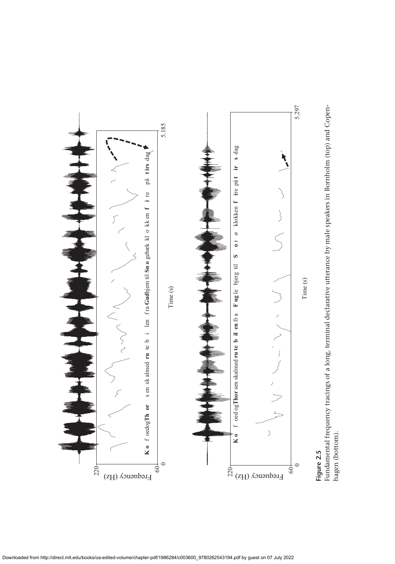

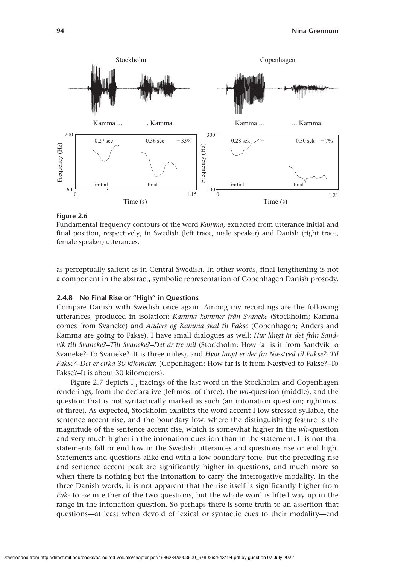

Fundamental frequency contours of the word *Kamma*, extracted from utterance initial and final position, respectively, in Swedish (left trace, male speaker) and Danish (right trace, female speaker) utterances.

as perceptually salient as in Central Swedish. In other words, final lengthening is not a component in the abstract, symbolic representation of Copenhagen Danish prosody.

# **2.4.8 No Final Rise or "High" in Questions**

Compare Danish with Swedish once again. Among my recordings are the following utterances, produced in isolation: *Kamma kommer från Svaneke* (Stockholm; Kamma comes from Svaneke) and *Anders og Kamma skal til Fakse* (Copenhagen; Anders and Kamma are going to Fakse). I have small dialogues as well: *Hur långt är det från Sandvik till Svaneke?–Till Svaneke?–Det är tre mil* (Stockholm; How far is it from Sandvik to Svaneke?–To Svaneke?–It is three miles), and *Hvor langt er der fra Næstved til Fakse?–Til Fakse?–Der er cirka 30 kilometer.* (Copenhagen; How far is it from Næstved to Fakse?–To Fakse?–It is about 30 kilometers).

Figure 2.7 depicts  $F_0$  tracings of the last word in the Stockholm and Copenhagen renderings, from the declarative (leftmost of three), the *wh*-question (middle), and the question that is not syntactically marked as such (an intonation question; rightmost of three). As expected, Stockholm exhibits the word accent I low stressed syllable, the sentence accent rise, and the boundary low, where the distinguishing feature is the magnitude of the sentence accent rise, which is somewhat higher in the *wh*-question and very much higher in the intonation question than in the statement. It is not that statements fall or end low in the Swedish utterances and questions rise or end high. Statements and questions alike end with a low boundary tone, but the preceding rise and sentence accent peak are significantly higher in questions, and much more so when there is nothing but the intonation to carry the interrogative modality. In the three Danish words, it is not apparent that the rise itself is significantly higher from *Fak-* to *-se* in either of the two questions, but the whole word is lifted way up in the range in the intonation question. So perhaps there is some truth to an assertion that questions—at least when devoid of lexical or syntactic cues to their modality—end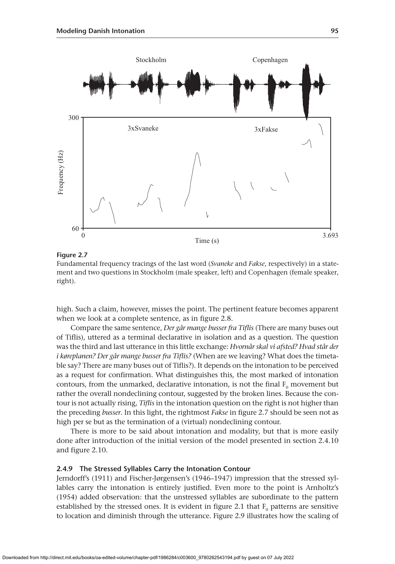

Fundamental frequency tracings of the last word (*Svaneke* and *Fakse*, respectively) in a statement and two questions in Stockholm (male speaker, left) and Copenhagen (female speaker, right).

high. Such a claim, however, misses the point. The pertinent feature becomes apparent when we look at a complete sentence, as in figure 2.8.

Compare the same sentence, *Der går mange busser fra Tiflis* (There are many buses out of Tiflis), uttered as a terminal declarative in isolation and as a question. The question was the third and last utterance in this little exchange: *Hvornår skal vi afsted? Hvad står der i køreplanen? Der går mange busser fra Tiflis?* (When are we leaving? What does the timetable say? There are many buses out of Tiflis?). It depends on the intonation to be perceived as a request for confirmation. What distinguishes this, the most marked of intonation contours, from the unmarked, declarative intonation, is not the final  $F_0$  movement but rather the overall nondeclining contour, suggested by the broken lines. Because the contour is not actually rising, *Tiflis* in the intonation question on the right is not higher than the preceding *busser*. In this light, the rightmost *Fakse* in figure 2.7 should be seen not as high per se but as the termination of a (virtual) nondeclining contour.

There is more to be said about intonation and modality, but that is more easily done after introduction of the initial version of the model presented in section 2.4.10 and figure 2.10.

# **2.4.9 The Stressed Syllables Carry the Intonation Contour**

Jerndorff's (1911) and Fischer-Jørgensen's (1946–1947) impression that the stressed syllables carry the intonation is entirely justified. Even more to the point is Arnholtz's (1954) added observation: that the unstressed syllables are subordinate to the pattern established by the stressed ones. It is evident in figure 2.1 that  $F_0$  patterns are sensitive to location and diminish through the utterance. Figure 2.9 illustrates how the scaling of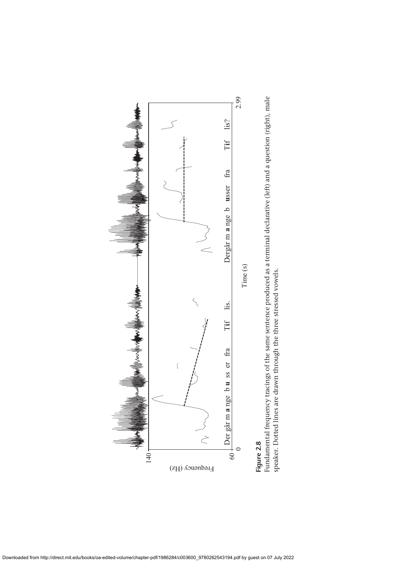

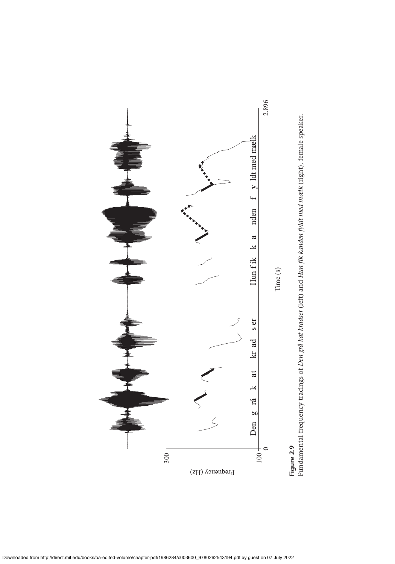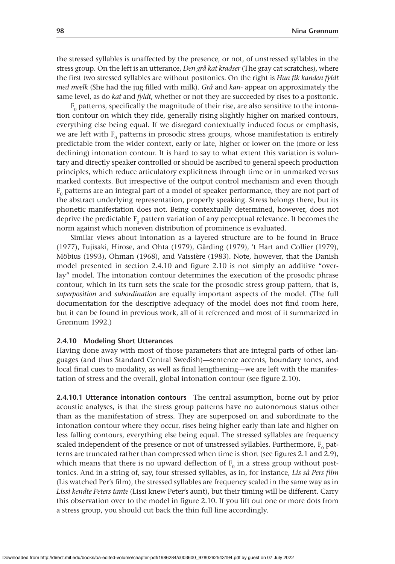the stressed syllables is unaffected by the presence, or not, of unstressed syllables in the stress group. On the left is an utterance, *Den grå kat kradser* (The gray cat scratches), where the first two stressed syllables are without posttonics. On the right is *Hun fik kanden fyldt med mælk* (She had the jug filled with milk). *Grå* and *kan-* appear on approximately the same level, as do *kat* and *fyldt*, whether or not they are succeeded by rises to a posttonic.

 $F<sub>0</sub>$  patterns, specifically the magnitude of their rise, are also sensitive to the intonation contour on which they ride, generally rising slightly higher on marked contours, everything else being equal. If we disregard contextually induced focus or emphasis, we are left with  $F_0$  patterns in prosodic stress groups, whose manifestation is entirely predictable from the wider context, early or late, higher or lower on the (more or less declining) intonation contour. It is hard to say to what extent this variation is voluntary and directly speaker controlled or should be ascribed to general speech production principles, which reduce articulatory explicitness through time or in unmarked versus marked contexts. But irrespective of the output control mechanism and even though  $F<sub>0</sub>$  patterns are an integral part of a model of speaker performance, they are not part of the abstract underlying representation, properly speaking. Stress belongs there, but its phonetic manifestation does not. Being contextually determined, however, does not deprive the predictable  $F_0$  pattern variation of any perceptual relevance. It becomes the norm against which noneven distribution of prominence is evaluated.

Similar views about intonation as a layered structure are to be found in Bruce (1977), Fujisaki, Hirose, and Ohta (1979), Gårding (1979), 't Hart and Collier (1979), Möbius (1993), Öhman (1968), and Vaissière (1983). Note, however, that the Danish model presented in section 2.4.10 and figure 2.10 is not simply an additive "overlay" model. The intonation contour determines the execution of the prosodic phrase contour, which in its turn sets the scale for the prosodic stress group pattern, that is, *superposition* and *subordination* are equally important aspects of the model. (The full documentation for the descriptive adequacy of the model does not find room here, but it can be found in previous work, all of it referenced and most of it summarized in Grønnum 1992.)

# **2.4.10 Modeling Short Utterances**

Having done away with most of those parameters that are integral parts of other languages (and thus Standard Central Swedish)—sentence accents, boundary tones, and local final cues to modality, as well as final lengthening—we are left with the manifestation of stress and the overall, global intonation contour (see figure 2.10).

**2.4.10.1 Utterance intonation contours** The central assumption, borne out by prior acoustic analyses, is that the stress group patterns have no autonomous status other than as the manifestation of stress. They are superposed on and subordinate to the intonation contour where they occur, rises being higher early than late and higher on less falling contours, everything else being equal. The stressed syllables are frequency scaled independent of the presence or not of unstressed syllables. Furthermore,  $F_0$  patterns are truncated rather than compressed when time is short (see figures 2.1 and 2.9), which means that there is no upward deflection of  $F_0$  in a stress group without posttonics. And in a string of, say, four stressed syllables, as in, for instance, *Lis så Pers film* (Lis watched Per's film), the stressed syllables are frequency scaled in the same way as in *Lissi kendte Peters tante* (Lissi knew Peter's aunt), but their timing will be different. Carry this observation over to the model in figure 2.10. If you lift out one or more dots from a stress group, you should cut back the thin full line accordingly.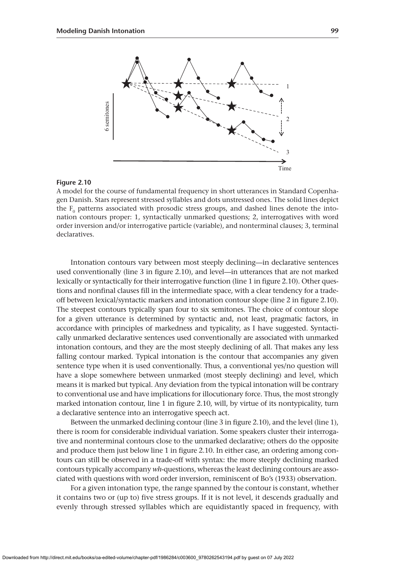

A model for the course of fundamental frequency in short utterances in Standard Copenhagen Danish. Stars represent stressed syllables and dots unstressed ones. The solid lines depict the  $\mathrm{F_{0}}$  patterns associated with prosodic stress groups, and dashed lines denote the intonation contours proper: 1, syntactically unmarked questions; 2, interrogatives with word order inversion and/or interrogative particle (variable), and nonterminal clauses; 3, terminal declaratives.

Intonation contours vary between most steeply declining—in declarative sentences used conventionally (line 3 in figure 2.10), and level—in utterances that are not marked lexically or syntactically for their interrogative function (line 1 in figure 2.10). Other questions and nonfinal clauses fill in the intermediate space, with a clear tendency for a tradeoff between lexical/syntactic markers and intonation contour slope (line 2 in figure 2.10). The steepest contours typically span four to six semitones. The choice of contour slope for a given utterance is determined by syntactic and, not least, pragmatic factors, in accordance with principles of markedness and typicality, as I have suggested. Syntactically unmarked declarative sentences used conventionally are associated with unmarked intonation contours, and they are the most steeply declining of all. That makes any less falling contour marked. Typical intonation is the contour that accompanies any given sentence type when it is used conventionally. Thus, a conventional yes/no question will have a slope somewhere between unmarked (most steeply declining) and level, which means it is marked but typical. Any deviation from the typical intonation will be contrary to conventional use and have implications for illocutionary force. Thus, the most strongly marked intonation contour, line 1 in figure 2.10, will, by virtue of its nontypicality, turn a declarative sentence into an interrogative speech act. Figure 2.10<br>
Figure 2.10<br>
A model for the course of fundamental frequency in short utterances in Standard Copenha-<br>
A model for the course of mondamental frequency in short utterances in Standard Copenha-<br>
are equidistant

Between the unmarked declining contour (line 3 in figure 2.10), and the level (line 1), there is room for considerable individual variation. Some speakers cluster their interrogative and nonterminal contours close to the unmarked declarative; others do the opposite and produce them just below line 1 in figure 2.10. In either case, an ordering among contours can still be observed in a trade-off with syntax: the more steeply declining marked contours typically accompany *wh*-questions, whereas the least declining contours are associated with questions with word order inversion, reminiscent of Bo's (1933) observation.

For a given intonation type, the range spanned by the contour is constant, whether it contains two or (up to) five stress groups. If it is not level, it descends gradually and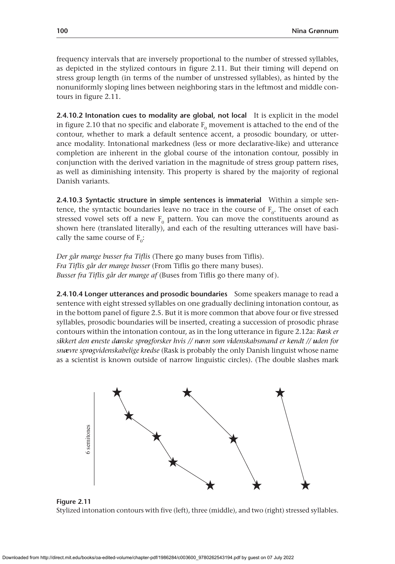frequency intervals that are inversely proportional to the number of stressed syllables, as depicted in the stylized contours in figure 2.11. But their timing will depend on stress group length (in terms of the number of unstressed syllables), as hinted by the nonuniformly sloping lines between neighboring stars in the leftmost and middle contours in figure 2.11.

**2.4.10.2 Intonation cues to modality are global, not local** It is explicit in the model in figure 2.10 that no specific and elaborate  $F_0$  movement is attached to the end of the contour, whether to mark a default sentence accent, a prosodic boundary, or utterance modality. Intonational markedness (less or more declarative-like) and utterance completion are inherent in the global course of the intonation contour, possibly in conjunction with the derived variation in the magnitude of stress group pattern rises, as well as diminishing intensity. This property is shared by the majority of regional Danish variants.

**2.4.10.3 Syntactic structure in simple sentences is immaterial** Within a simple sentence, the syntactic boundaries leave no trace in the course of  $F_0$ . The onset of each stressed vowel sets off a new  $F_0$  pattern. You can move the constituents around as shown here (translated literally), and each of the resulting utterances will have basically the same course of  $F_0$ :

*Der går mange busser fra Tiflis* (There go many buses from Tiflis). *Fra Tiflis går der mange busser* (From Tiflis go there many buses). *Busser fra Tiflis går der mange af* (Buses from Tiflis go there many of).

**2.4.10.4 Longer utterances and prosodic boundaries** Some speakers manage to read a sentence with eight stressed syllables on one gradually declining intonation contour, as in the bottom panel of figure 2.5. But it is more common that above four or five stressed syllables, prosodic boundaries will be inserted, creating a succession of prosodic phrase contours within the intonation contour, as in the long utterance in figure 2.12a: *Rask er sikkert den eneste danske sprogforsker hvis // navn som videnskabsmand er kendt // uden for snævre sprogvidenskabelige kredse* (Rask is probably the only Danish linguist whose name as a scientist is known outside of narrow linguistic circles). (The double slashes mark



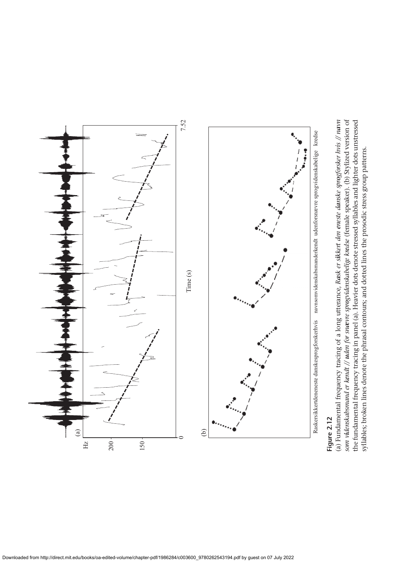

# Figure 2.12 **Figure 2.12**

*avn ævre sprogvidenskabelige kredse* (female speaker). (b) Stylized version of the fundamental frequency tracing in panel (a). Heavier dots denote stressed syllables and lighter dots unstressed *um videnskabsmand er kendt // uden for snævre sprogvidenskabelige kredse (female speaker). (b) Stylized version of the fundamental frequency tracing in panel (a). Heavier dots denote stressed syllables and lighter dots un ask er sikkert den eneste danske sprogforsker hvis // n* syllables; broken lines denote the phrasal contours; and dotted lines the prosodic stress group patterns. syllables; broken lines denote the phrasal contours; and dotted lines the prosodic stress group patterns. *R* (a) Fundamental frequency tracing of a long utterance, *som videnskabsmand er kendt //*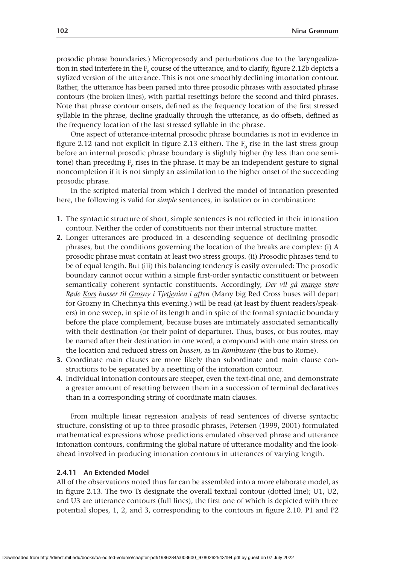prosodic phrase boundaries.) Microprosody and perturbations due to the laryngealization in stød interfere in the  $F_0$  course of the utterance, and to clarify, figure 2.12b depicts a stylized version of the utterance. This is not one smoothly declining intonation contour. Rather, the utterance has been parsed into three prosodic phrases with associated phrase contours (the broken lines), with partial resettings before the second and third phrases. Note that phrase contour onsets, defined as the frequency location of the first stressed syllable in the phrase, decline gradually through the utterance, as do offsets, defined as the frequency location of the last stressed syllable in the phrase.

One aspect of utterance-internal prosodic phrase boundaries is not in evidence in figure 2.12 (and not explicit in figure 2.13 either). The  $F_0$  rise in the last stress group before an internal prosodic phrase boundary is slightly higher (by less than one semitone) than preceding  $F_0$  rises in the phrase. It may be an independent gesture to signal noncompletion if it is not simply an assimilation to the higher onset of the succeeding prosodic phrase.

In the scripted material from which I derived the model of intonation presented here, the following is valid for *simple* sentences, in isolation or in combination:

- **1.** The syntactic structure of short, simple sentences is not reflected in their intonation contour. Neither the order of constituents nor their internal structure matter.
- **2.** Longer utterances are produced in a descending sequence of declining prosodic phrases, but the conditions governing the location of the breaks are complex: (i) A prosodic phrase must contain at least two stress groups. (ii) Prosodic phrases tend to be of equal length. But (iii) this balancing tendency is easily overruled: The prosodic boundary cannot occur within a simple first-order syntactic constituent or between semantically coherent syntactic constituents. Accordingly, *Der vil gå mange store Røde Kors busser til Grosny i Tjetjenien i aften* (Many big Red Cross buses will depart for Grozny in Chechnya this evening.) will be read (at least by fluent readers/speakers) in one sweep, in spite of its length and in spite of the formal syntactic boundary before the place complement, because buses are intimately associated semantically with their destination (or their point of departure). Thus, buses, or bus routes, may be named after their destination in one word, a compound with one main stress on the location and reduced stress on *bussen*, as in *Rombussen* (the bus to Rome).
- **3.** Coordinate main clauses are more likely than subordinate and main clause constructions to be separated by a resetting of the intonation contour.
- **4.** Individual intonation contours are steeper, even the text-final one, and demonstrate a greater amount of resetting between them in a succession of terminal declaratives than in a corresponding string of coordinate main clauses.

From multiple linear regression analysis of read sentences of diverse syntactic structure, consisting of up to three prosodic phrases, Petersen (1999, 2001) formulated mathematical expressions whose predictions emulated observed phrase and utterance intonation contours, confirming the global nature of utterance modality and the lookahead involved in producing intonation contours in utterances of varying length.

## **2.4.11 An Extended Model**

All of the observations noted thus far can be assembled into a more elaborate model, as in figure 2.13. The two Ts designate the overall textual contour (dotted line); U1, U2, and U3 are utterance contours (full lines), the first one of which is depicted with three potential slopes, 1, 2, and 3, corresponding to the contours in figure 2.10. P1 and P2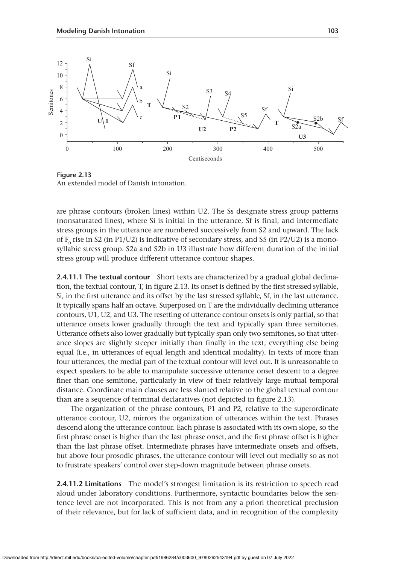

**Figure 2.13** An extended model of Danish intonation.

are phrase contours (broken lines) within U2. The Ss designate stress group patterns (nonsaturated lines), where Si is initial in the utterance, Sf is final, and intermediate stress groups in the utterance are numbered successively from S2 and upward. The lack of  $F_0$  rise in S2 (in P1/U2) is indicative of secondary stress, and S5 (in P2/U2) is a monosyllabic stress group. S2a and S2b in U3 illustrate how different duration of the initial stress group will produce different utterance contour shapes.

**2.4.11.1 The textual contour** Short texts are characterized by a gradual global declination, the textual contour, T, in figure 2.13. Its onset is defined by the first stressed syllable, Si, in the first utterance and its offset by the last stressed syllable, Sf, in the last utterance. It typically spans half an octave. Superposed on T are the individually declining utterance contours, U1, U2, and U3. The resetting of utterance contour onsets is only partial, so that utterance onsets lower gradually through the text and typically span three semitones. Utterance offsets also lower gradually but typically span only two semitones, so that utterance slopes are slightly steeper initially than finally in the text, everything else being equal (i.e., in utterances of equal length and identical modality). In texts of more than four utterances, the medial part of the textual contour will level out. It is unreasonable to expect speakers to be able to manipulate successive utterance onset descent to a degree finer than one semitone, particularly in view of their relatively large mutual temporal distance. Coordinate main clauses are less slanted relative to the global textual contour than are a sequence of terminal declaratives (not depicted in figure 2.13).

The organization of the phrase contours, P1 and P2, relative to the superordinate utterance contour, U2, mirrors the organization of utterances within the text. Phrases descend along the utterance contour. Each phrase is associated with its own slope, so the first phrase onset is higher than the last phrase onset, and the first phrase offset is higher than the last phrase offset. Intermediate phrases have intermediate onsets and offsets, but above four prosodic phrases, the utterance contour will level out medially so as not to frustrate speakers' control over step-down magnitude between phrase onsets.

**2.4.11.2 Limitations** The model's strongest limitation is its restriction to speech read aloud under laboratory conditions. Furthermore, syntactic boundaries below the sentence level are not incorporated. This is not from any a priori theoretical preclusion of their relevance, but for lack of sufficient data, and in recognition of the complexity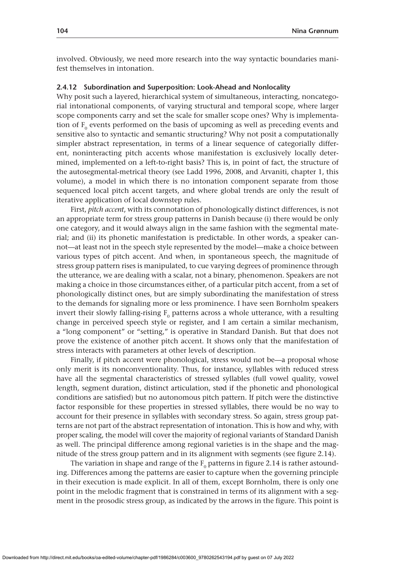involved. Obviously, we need more research into the way syntactic boundaries manifest themselves in intonation.

## **2.4.12 Subordination and Superposition: Look-Ahead and Nonlocality**

Why posit such a layered, hierarchical system of simultaneous, interacting, noncategorial intonational components, of varying structural and temporal scope, where larger scope components carry and set the scale for smaller scope ones? Why is implementation of  $F_0$  events performed on the basis of upcoming as well as preceding events and sensitive also to syntactic and semantic structuring? Why not posit a computationally simpler abstract representation, in terms of a linear sequence of categorially different, noninteracting pitch accents whose manifestation is exclusively locally determined, implemented on a left-to-right basis? This is, in point of fact, the structure of the autosegmental-metrical theory (see Ladd 1996, 2008, and Arvaniti, chapter 1, this volume), a model in which there is no intonation component separate from those sequenced local pitch accent targets, and where global trends are only the result of iterative application of local downstep rules.

First, *pitch accent*, with its connotation of phonologically distinct differences, is not an appropriate term for stress group patterns in Danish because (i) there would be only one category, and it would always align in the same fashion with the segmental material; and (ii) its phonetic manifestation is predictable. In other words, a speaker cannot—at least not in the speech style represented by the model—make a choice between various types of pitch accent. And when, in spontaneous speech, the magnitude of stress group pattern rises is manipulated, to cue varying degrees of prominence through the utterance, we are dealing with a scalar, not a binary, phenomenon. Speakers are not making a choice in those circumstances either, of a particular pitch accent, from a set of phonologically distinct ones, but are simply subordinating the manifestation of stress to the demands for signaling more or less prominence. I have seen Bornholm speakers invert their slowly falling-rising  $F_0$  patterns across a whole utterance, with a resulting change in perceived speech style or register, and I am certain a similar mechanism, a "long component" or "setting," is operative in Standard Danish. But that does not prove the existence of another pitch accent. It shows only that the manifestation of stress interacts with parameters at other levels of description.

Finally, if pitch accent were phonological, stress would not be—a proposal whose only merit is its nonconventionality. Thus, for instance, syllables with reduced stress have all the segmental characteristics of stressed syllables (full vowel quality, vowel length, segment duration, distinct articulation, stød if the phonetic and phonological conditions are satisfied) but no autonomous pitch pattern. If pitch were the distinctive factor responsible for these properties in stressed syllables, there would be no way to account for their presence in syllables with secondary stress. So again, stress group patterns are not part of the abstract representation of intonation. This is how and why, with proper scaling, the model will cover the majority of regional variants of Standard Danish as well. The principal difference among regional varieties is in the shape and the magnitude of the stress group pattern and in its alignment with segments (see figure 2.14).

The variation in shape and range of the  $F_0$  patterns in figure 2.14 is rather astounding. Differences among the patterns are easier to capture when the governing principle in their execution is made explicit. In all of them, except Bornholm, there is only one point in the melodic fragment that is constrained in terms of its alignment with a segment in the prosodic stress group, as indicated by the arrows in the figure. This point is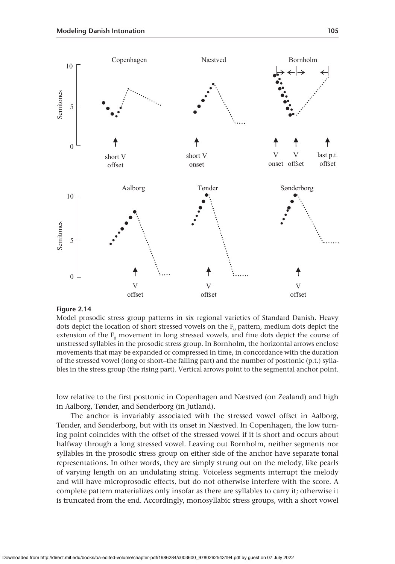

Model prosodic stress group patterns in six regional varieties of Standard Danish. Heavy dots depict the location of short stressed vowels on the  $\text{F}_{{}_{0}}$  pattern, medium dots depict the extension of the  $F_0$  movement in long stressed vowels, and fine dots depict the course of unstressed syllables in the prosodic stress group. In Bornholm, the horizontal arrows enclose movements that may be expanded or compressed in time, in concordance with the duration of the stressed vowel (long or short–the falling part) and the number of posttonic (p.t.) syllables in the stress group (the rising part). Vertical arrows point to the segmental anchor point.

low relative to the first posttonic in Copenhagen and Næstved (on Zealand) and high in Aalborg, Tønder, and Sønderborg (in Jutland).

The anchor is invariably associated with the stressed vowel offset in Aalborg, Tønder, and Sønderborg, but with its onset in Næstved. In Copenhagen, the low turning point coincides with the offset of the stressed vowel if it is short and occurs about halfway through a long stressed vowel. Leaving out Bornholm, neither segments nor syllables in the prosodic stress group on either side of the anchor have separate tonal representations. In other words, they are simply strung out on the melody, like pearls of varying length on an undulating string. Voiceless segments interrupt the melody and will have microprosodic effects, but do not otherwise interfere with the score. A complete pattern materializes only insofar as there are syllables to carry it; otherwise it Figure 2.14<br>
Figure 2.14<br>
We offset<br>
We offset<br>
We offset<br>
We offset<br>
Model prosodic stress group patterns in six regional varieties of Standard Danish. Heavy<br>
dots depict the location of short stress groups, in Bornholm,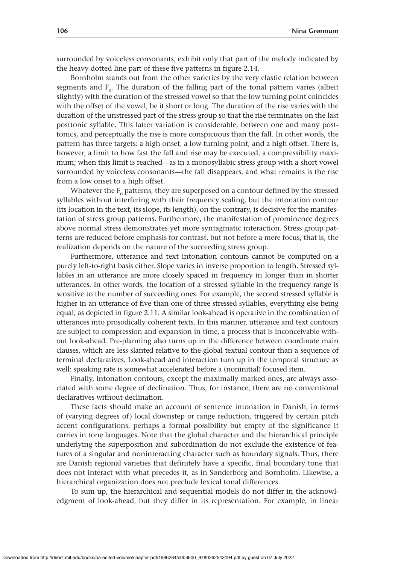surrounded by voiceless consonants, exhibit only that part of the melody indicated by the heavy dotted line part of these five patterns in figure 2.14.

Bornholm stands out from the other varieties by the very elastic relation between segments and  $F_0$ . The duration of the falling part of the tonal pattern varies (albeit slightly) with the duration of the stressed vowel so that the low turning point coincides with the offset of the vowel, be it short or long. The duration of the rise varies with the duration of the unstressed part of the stress group so that the rise terminates on the last posttonic syllable. This latter variation is considerable, between one and many posttonics, and perceptually the rise is more conspicuous than the fall. In other words, the pattern has three targets: a high onset, a low turning point, and a high offset. There is, however, a limit to how fast the fall and rise may be executed, a compressibility maximum; when this limit is reached—as in a monosyllabic stress group with a short vowel surrounded by voiceless consonants—the fall disappears, and what remains is the rise from a low onset to a high offset.

Whatever the  $F_0$  patterns, they are superposed on a contour defined by the stressed syllables without interfering with their frequency scaling, but the intonation contour (its location in the text, its slope, its length), on the contrary, is decisive for the manifestation of stress group patterns. Furthermore, the manifestation of prominence degrees above normal stress demonstrates yet more syntagmatic interaction. Stress group patterns are reduced before emphasis for contrast, but not before a mere focus, that is, the realization depends on the nature of the succeeding stress group.

Furthermore, utterance and text intonation contours cannot be computed on a purely left-to-right basis either. Slope varies in inverse proportion to length. Stressed syllables in an utterance are more closely spaced in frequency in longer than in shorter utterances. In other words, the location of a stressed syllable in the frequency range is sensitive to the number of succeeding ones. For example, the second stressed syllable is higher in an utterance of five than one of three stressed syllables, everything else being equal, as depicted in figure 2.11. A similar look-ahead is operative in the combination of utterances into prosodically coherent texts. In this manner, utterance and text contours are subject to compression and expansion in time, a process that is inconceivable without look-ahead. Pre-planning also turns up in the difference between coordinate main clauses, which are less slanted relative to the global textual contour than a sequence of terminal declaratives. Look-ahead and interaction turn up in the temporal structure as well: speaking rate is somewhat accelerated before a (noninitial) focused item.

Finally, intonation contours, except the maximally marked ones, are always associated with some degree of declination. Thus, for instance, there are no conventional declaratives without declination.

These facts should make an account of sentence intonation in Danish, in terms of (varying degrees of) local downstep or range reduction, triggered by certain pitch accent configurations, perhaps a formal possibility but empty of the significance it carries in tone languages. Note that the global character and the hierarchical principle underlying the superposition and subordination do not exclude the existence of features of a singular and noninteracting character such as boundary signals. Thus, there are Danish regional varieties that definitely have a specific, final boundary tone that does not interact with what precedes it, as in Sønderborg and Bornholm. Likewise, a hierarchical organization does not preclude lexical tonal differences.

To sum up, the hierarchical and sequential models do not differ in the acknowledgment of look-ahead, but they differ in its representation. For example, in linear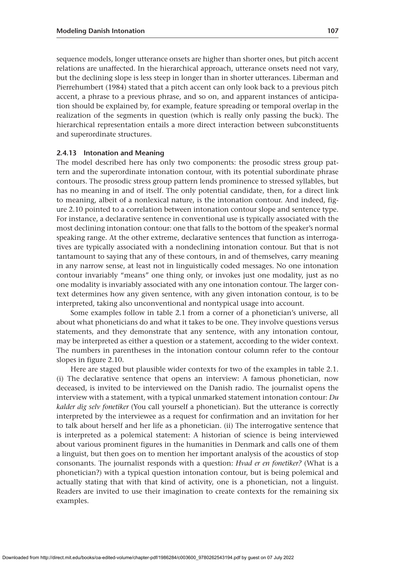sequence models, longer utterance onsets are higher than shorter ones, but pitch accent relations are unaffected. In the hierarchical approach, utterance onsets need not vary, but the declining slope is less steep in longer than in shorter utterances. Liberman and Pierrehumbert (1984) stated that a pitch accent can only look back to a previous pitch accent, a phrase to a previous phrase, and so on, and apparent instances of anticipation should be explained by, for example, feature spreading or temporal overlap in the realization of the segments in question (which is really only passing the buck). The hierarchical representation entails a more direct interaction between subconstituents and superordinate structures.

## **2.4.13 Intonation and Meaning**

The model described here has only two components: the prosodic stress group pattern and the superordinate intonation contour, with its potential subordinate phrase contours. The prosodic stress group pattern lends prominence to stressed syllables, but has no meaning in and of itself. The only potential candidate, then, for a direct link to meaning, albeit of a nonlexical nature, is the intonation contour. And indeed, figure 2.10 pointed to a correlation between intonation contour slope and sentence type. For instance, a declarative sentence in conventional use is typically associated with the most declining intonation contour: one that falls to the bottom of the speaker's normal speaking range. At the other extreme, declarative sentences that function as interrogatives are typically associated with a nondeclining intonation contour. But that is not tantamount to saying that any of these contours, in and of themselves, carry meaning in any narrow sense, at least not in linguistically coded messages. No one intonation contour invariably "means" one thing only, or invokes just one modality, just as no one modality is invariably associated with any one intonation contour. The larger context determines how any given sentence, with any given intonation contour, is to be interpreted, taking also unconventional and nontypical usage into account.

Some examples follow in table 2.1 from a corner of a phonetician's universe, all about what phoneticians do and what it takes to be one. They involve questions versus statements, and they demonstrate that any sentence, with any intonation contour, may be interpreted as either a question or a statement, according to the wider context. The numbers in parentheses in the intonation contour column refer to the contour slopes in figure 2.10.

Here are staged but plausible wider contexts for two of the examples in table 2.1. (i) The declarative sentence that opens an interview: A famous phonetician, now deceased, is invited to be interviewed on the Danish radio. The journalist opens the interview with a statement, with a typical unmarked statement intonation contour: *Du kalder dig selv fonetiker* (You call yourself a phonetician). But the utterance is correctly interpreted by the interviewee as a request for confirmation and an invitation for her to talk about herself and her life as a phonetician. (ii) The interrogative sentence that is interpreted as a polemical statement: A historian of science is being interviewed about various prominent figures in the humanities in Denmark and calls one of them a linguist, but then goes on to mention her important analysis of the acoustics of stop consonants. The journalist responds with a question: *Hvad er en fonetiker?* (What is a phonetician?) with a typical question intonation contour, but is being polemical and actually stating that with that kind of activity, one is a phonetician, not a linguist. Readers are invited to use their imagination to create contexts for the remaining six examples.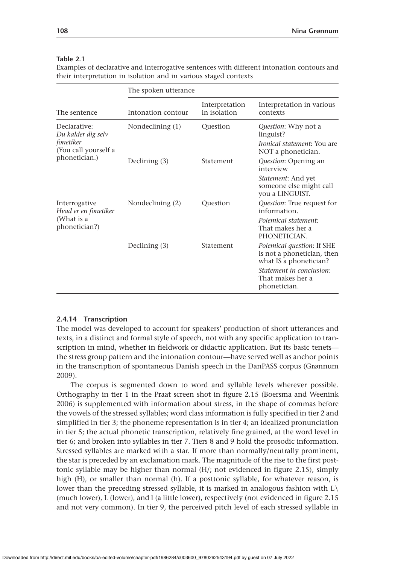|  |  | ., | UV. |
|--|--|----|-----|
|  |  |    |     |
|  |  |    |     |
|  |  |    |     |
|  |  |    |     |

## **Table 2.1**

Examples of declarative and interrogative sentences with different intonation contours and their interpretation in isolation and in various staged contexts

|                                       | The spoken utterance |                                |                                                                                           |  |  |  |  |  |
|---------------------------------------|----------------------|--------------------------------|-------------------------------------------------------------------------------------------|--|--|--|--|--|
| The sentence                          | Intonation contour   | Interpretation<br>in isolation | Interpretation in various<br>contexts                                                     |  |  |  |  |  |
| Declarative:<br>Du kalder dig selv    | Nondeclining $(1)$   | Question                       | <i>Question:</i> Why not a<br>linguist?                                                   |  |  |  |  |  |
| fonetiker<br>(You call yourself a     |                      |                                | <i>Ironical statement:</i> You are<br>NOT a phonetician.                                  |  |  |  |  |  |
| phonetician.)                         | Declining $(3)$      | Statement                      | Question: Opening an<br>interview                                                         |  |  |  |  |  |
|                                       |                      |                                | <i>Statement: And yet</i><br>someone else might call<br>you a LINGUIST.                   |  |  |  |  |  |
| Interrogative<br>Hvad er en fonetiker | Nondeclining (2)     | Question                       | <i>Question:</i> True request for<br>information.                                         |  |  |  |  |  |
| (What is a<br>phonetician?)           |                      |                                | Polemical statement:<br>That makes her a<br>PHONETICIAN.                                  |  |  |  |  |  |
|                                       | Declining $(3)$      | Statement                      | <i>Polemical question: If SHE</i><br>is not a phonetician, then<br>what IS a phonetician? |  |  |  |  |  |
|                                       |                      |                                | Statement in conclusion:<br>That makes her a<br>phonetician.                              |  |  |  |  |  |

## **2.4.14 Transcription**

The model was developed to account for speakers' production of short utterances and texts, in a distinct and formal style of speech, not with any specific application to transcription in mind, whether in fieldwork or didactic application. But its basic tenets the stress group pattern and the intonation contour—have served well as anchor points in the transcription of spontaneous Danish speech in the DanPASS corpus (Grønnum 2009).

The corpus is segmented down to word and syllable levels wherever possible. Orthography in tier 1 in the Praat screen shot in figure 2.15 (Boersma and Weenink 2006) is supplemented with information about stress, in the shape of commas before the vowels of the stressed syllables; word class information is fully specified in tier 2 and simplified in tier 3; the phoneme representation is in tier 4; an idealized pronunciation in tier 5; the actual phonetic transcription, relatively fine grained, at the word level in tier 6; and broken into syllables in tier 7. Tiers 8 and 9 hold the prosodic information. Stressed syllables are marked with a star. If more than normally/neutrally prominent, the star is preceded by an exclamation mark. The magnitude of the rise to the first posttonic syllable may be higher than normal (H/; not evidenced in figure 2.15), simply high (H), or smaller than normal (h). If a posttonic syllable, for whatever reason, is lower than the preceding stressed syllable, it is marked in analogous fashion with  $L\setminus$ (much lower), L (lower), and l (a little lower), respectively (not evidenced in figure 2.15 and not very common). In tier 9, the perceived pitch level of each stressed syllable in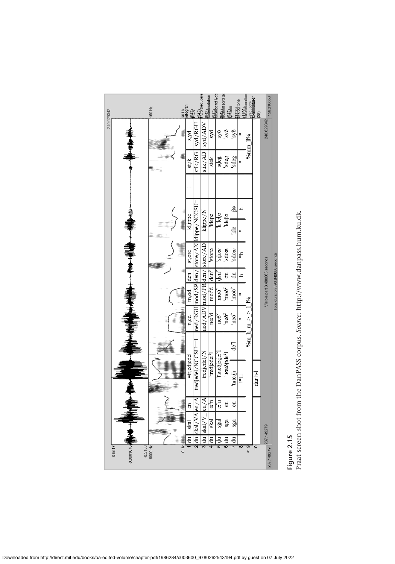| 240.629342 |                                     | <b>160 Hz</b> |             | 60 Hz<br>ortografi<br>1 <del>913</del> | 988 (reducere                              | <b>342</b> motation          |                             | <b>Raak</b> seret lyds<br>98Rhift (ord-do | yagain                   |                    | fik%} tone<br>fi1£Monation | kl72 ZZZZ      | (38)           | 156.210658                    |                                   |
|------------|-------------------------------------|---------------|-------------|----------------------------------------|--------------------------------------------|------------------------------|-----------------------------|-------------------------------------------|--------------------------|--------------------|----------------------------|----------------|----------------|-------------------------------|-----------------------------------|
|            |                                     |               |             | s,yd                                   | syd/RGU                                    | VCN/p/s                      | syd                         | syð                                       | syð                      | syð                |                            | % $1\%$ ll%    |                | 240.629342                    |                                   |
|            |                                     |               |             | stik                                   | stik/RG                                    | stik/AD                      | stek                        | sdeğ                                      | sdeg                     | sdeg               |                            |                |                |                               |                                   |
|            |                                     |               |             | $\ddot{}$                              |                                            |                              |                             |                                           |                          |                    |                            |                |                |                               |                                   |
|            |                                     |               | <b>WHEN</b> | kl.ippe                                |                                            | klippe $\sqrt{N}$            | <b>Edəp</b> i               | <b>ega<sub>k</sub></b>                    | <b>kleß</b>              | 89                 |                            |                |                |                               |                                   |
|            |                                     |               |             |                                        |                                            |                              |                             |                                           |                          | Ыe                 | ₩                          |                |                |                               |                                   |
|            |                                     |               |             | st,ore                                 | ned/RGU mod/SP den/ store/AN klippe/NCCSU= |                              | erois <sup>'</sup>          | a:ops                                     | arops <sub>1</sub>       | arops <sub>1</sub> | $\mathbf{q}_{*}$           |                |                |                               |                                   |
|            |                                     |               |             | den                                    |                                            |                              | $\tan^2$                    | $\dim^2$                                  | ਚੋ                       | සි                 | h.                         |                |                |                               |                                   |
|            |                                     |               |             | m, od                                  |                                            | ned/ADV mod/PR den/ store/AD | $m\alpha^2d$                | $\text{mod}^{\mathfrak{F}^2}$             | $\mathrm{mod}^3$         | moð <sup>?</sup>   | ×                          | 196            |                | Visible part 3.480063 seconds | Total duration 396.840000 seconds |
|            |                                     |               |             | n,ed                                   |                                            |                              | ne:'d                       | neð <sup>7</sup>                          | neð <sup>Y</sup>         | 'neð <sup>?</sup>  |                            | $\%$ m h m > > |                |                               |                                   |
|            |                                     |               |             |                                        |                                            |                              |                             |                                           |                          | ද්ධ                |                            |                |                |                               |                                   |
|            |                                     |               |             | =tr,edjedel                            | tredjedel/NCCSU=I                          | tredjedel/N                  | 'tredjade: <sup>2</sup> l   | 't <sup>s</sup> вæðjэde: <sup>?</sup> l   | 'træðjɪde <sup>?</sup> l | 'træðji            | H*I                        |                | $\frac{1}{1}$  |                               |                                   |
|            |                                     |               |             |                                        |                                            |                              |                             |                                           |                          |                    |                            |                |                |                               |                                   |
|            |                                     |               |             | en                                     |                                            | em/A                         | $\mathfrak{a},\mathfrak{a}$ | $\mathbf{e_i}^{\mathbf{z_n}}$             | $\epsilon$               | en                 |                            |                |                |                               |                                   |
|            |                                     |               |             | skal                                   | skal/VA en/A                               | skal/V                       | skal                        | sğal                                      | sga                      | sga                |                            |                |                |                               |                                   |
|            |                                     |               | 0 Hz        | $\frac{du}{dt}$                        | 2  du                                      | $\frac{1}{2}$                | 4 du                        | $\vec{e}$                                 | đ<br>ဖ                   | đ                  | $\overline{\alpha}$        | တ<br>န         | $\overline{C}$ |                               |                                   |
|            | $-0.5188$<br>$-0.0001676$<br>0.5517 | 5000 Hz       |             |                                        |                                            |                              |                             |                                           |                          |                    |                            |                |                | 237.149279 237.149279         |                                   |

Figure 2.15<br>Praat screen shot from the DanPASS corpus. Source: http://www.danpass.hum.ku.dk. Praat screen shot from the DanPASS corpus. *Source*:<http://www.danpass.hum.ku.dk>. **Figure 2.15**

Downloaded from http://direct.mit.edu/books/oa-edited-volume/chapter-pdf/1986284/c003600\_9780262543194.pdf by guest on 07 July 2022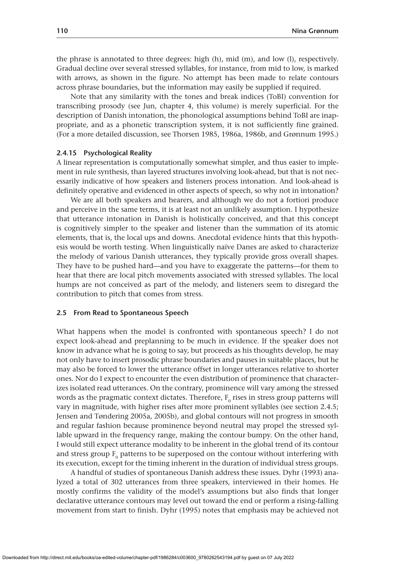the phrase is annotated to three degrees: high (h), mid (m), and low (l), respectively. Gradual decline over several stressed syllables, for instance, from mid to low, is marked with arrows, as shown in the figure. No attempt has been made to relate contours across phrase boundaries, but the information may easily be supplied if required.

Note that any similarity with the tones and break indices (ToBI) convention for transcribing prosody (see Jun, chapter 4, this volume) is merely superficial. For the description of Danish intonation, the phonological assumptions behind ToBI are inappropriate, and as a phonetic transcription system, it is not sufficiently fine grained. (For a more detailed discussion, see Thorsen 1985, 1986a, 1986b, and Grønnum 1995.)

#### **2.4.15 Psychological Reality**

A linear representation is computationally somewhat simpler, and thus easier to implement in rule synthesis, than layered structures involving look-ahead, but that is not necessarily indicative of how speakers and listeners process intonation. And look-ahead is definitely operative and evidenced in other aspects of speech, so why not in intonation?

We are all both speakers and hearers, and although we do not a fortiori produce and perceive in the same terms, it is at least not an unlikely assumption. I hypothesize that utterance intonation in Danish is holistically conceived, and that this concept is cognitively simpler to the speaker and listener than the summation of its atomic elements, that is, the local ups and downs. Anecdotal evidence hints that this hypothesis would be worth testing. When linguistically naïve Danes are asked to characterize the melody of various Danish utterances, they typically provide gross overall shapes. They have to be pushed hard—and you have to exaggerate the patterns—for them to hear that there are local pitch movements associated with stressed syllables. The local humps are not conceived as part of the melody, and listeners seem to disregard the contribution to pitch that comes from stress.

## **2.5 From Read to Spontaneous Speech**

What happens when the model is confronted with spontaneous speech? I do not expect look-ahead and preplanning to be much in evidence. If the speaker does not know in advance what he is going to say, but proceeds as his thoughts develop, he may not only have to insert prosodic phrase boundaries and pauses in suitable places, but he may also be forced to lower the utterance offset in longer utterances relative to shorter ones. Nor do I expect to encounter the even distribution of prominence that characterizes isolated read utterances. On the contrary, prominence will vary among the stressed words as the pragmatic context dictates. Therefore,  $F_0$  rises in stress group patterns will vary in magnitude, with higher rises after more prominent syllables (see section 2.4.5; Jensen and Tøndering 2005a, 2005b), and global contours will not progress in smooth and regular fashion because prominence beyond neutral may propel the stressed syllable upward in the frequency range, making the contour bumpy. On the other hand, I would still expect utterance modality to be inherent in the global trend of its contour and stress group  $F_0$  patterns to be superposed on the contour without interfering with its execution, except for the timing inherent in the duration of individual stress groups.

A handful of studies of spontaneous Danish address these issues. Dyhr (1993) analyzed a total of 302 utterances from three speakers, interviewed in their homes. He mostly confirms the validity of the model's assumptions but also finds that longer declarative utterance contours may level out toward the end or perform a rising-falling movement from start to finish. Dyhr (1995) notes that emphasis may be achieved not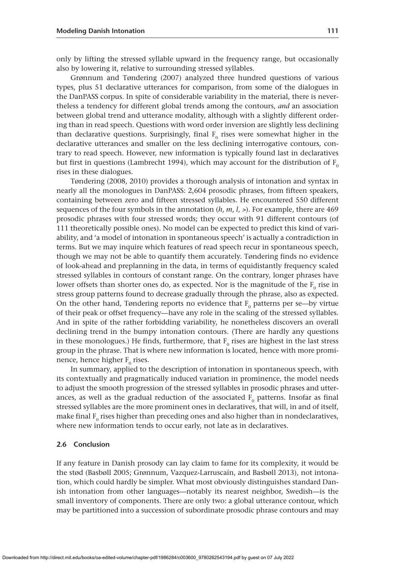only by lifting the stressed syllable upward in the frequency range, but occasionally also by lowering it, relative to surrounding stressed syllables.

Grønnum and Tøndering (2007) analyzed three hundred questions of various types, plus 51 declarative utterances for comparison, from some of the dialogues in the DanPASS corpus. In spite of considerable variability in the material, there is nevertheless a tendency for different global trends among the contours, *and* an association between global trend and utterance modality, although with a slightly different ordering than in read speech. Questions with word order inversion are slightly less declining than declarative questions. Surprisingly, final  $F_0$  rises were somewhat higher in the declarative utterances and smaller on the less declining interrogative contours, contrary to read speech. However, new information is typically found last in declaratives but first in questions (Lambrecht 1994), which may account for the distribution of  $F_0$ rises in these dialogues.

Tøndering (2008, 2010) provides a thorough analysis of intonation and syntax in nearly all the monologues in DanPASS: 2,604 prosodic phrases, from fifteen speakers, containing between zero and fifteen stressed syllables. He encountered 550 different sequences of the four symbols in the annotation (*h*, *m*, *l*, >). For example, there are 469 prosodic phrases with four stressed words; they occur with 91 different contours (of 111 theoretically possible ones). No model can be expected to predict this kind of variability, and ʻa model of intonation in spontaneous speech' is actually a contradiction in terms. But we may inquire which features of read speech recur in spontaneous speech, though we may not be able to quantify them accurately. Tøndering finds no evidence of look-ahead and preplanning in the data, in terms of equidistantly frequency scaled stressed syllables in contours of constant range. On the contrary, longer phrases have lower offsets than shorter ones do, as expected. Nor is the magnitude of the  $F_0$  rise in stress group patterns found to decrease gradually through the phrase, also as expected. On the other hand, Tøndering reports no evidence that  $F_0$  patterns per se—by virtue of their peak or offset frequency—have any role in the scaling of the stressed syllables. And in spite of the rather forbidding variability, he nonetheless discovers an overall declining trend in the bumpy intonation contours. (There are hardly any questions in these monologues.) He finds, furthermore, that  $F_0$  rises are highest in the last stress group in the phrase. That is where new information is located, hence with more prominence, hence higher  $F_0$  rises.

In summary, applied to the description of intonation in spontaneous speech, with its contextually and pragmatically induced variation in prominence, the model needs to adjust the smooth progression of the stressed syllables in prosodic phrases and utterances, as well as the gradual reduction of the associated  $F_0$  patterns. Insofar as final stressed syllables are the more prominent ones in declaratives, that will, in and of itself, make final  $F_0$  rises higher than preceding ones and also higher than in nondeclaratives, where new information tends to occur early, not late as in declaratives.

## **2.6 Conclusion**

If any feature in Danish prosody can lay claim to fame for its complexity, it would be the stød (Basbøll 2005; Grønnum, Vazquez-Larruscaín, and Basbøll 2013), not intonation, which could hardly be simpler. What most obviously distinguishes standard Danish intonation from other languages—notably its nearest neighbor, Swedish—is the small inventory of components. There are only two: a global utterance contour, which may be partitioned into a succession of subordinate prosodic phrase contours and may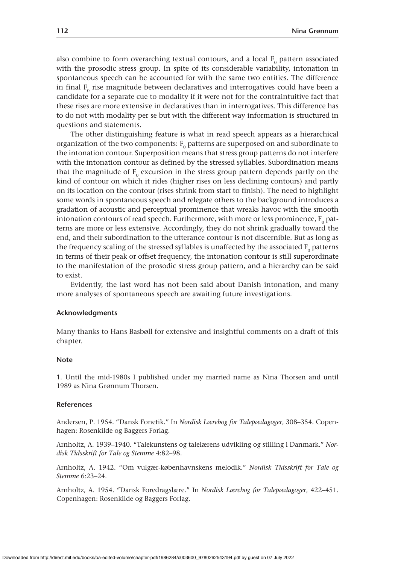also combine to form overarching textual contours, and a local  $F_0$  pattern associated with the prosodic stress group. In spite of its considerable variability, intonation in spontaneous speech can be accounted for with the same two entities. The difference in final  $F_0$  rise magnitude between declaratives and interrogatives could have been a candidate for a separate cue to modality if it were not for the contraintuitive fact that these rises are more extensive in declaratives than in interrogatives. This difference has to do not with modality per se but with the different way information is structured in questions and statements.

The other distinguishing feature is what in read speech appears as a hierarchical organization of the two components:  $F_0$  patterns are superposed on and subordinate to the intonation contour. Superposition means that stress group patterns do not interfere with the intonation contour as defined by the stressed syllables. Subordination means that the magnitude of  $F_0$  excursion in the stress group pattern depends partly on the kind of contour on which it rides (higher rises on less declining contours) and partly on its location on the contour (rises shrink from start to finish). The need to highlight some words in spontaneous speech and relegate others to the background introduces a gradation of acoustic and perceptual prominence that wreaks havoc with the smooth intonation contours of read speech. Furthermore, with more or less prominence,  $F_0$  patterns are more or less extensive. Accordingly, they do not shrink gradually toward the end, and their subordination to the utterance contour is not discernible. But as long as the frequency scaling of the stressed syllables is unaffected by the associated  $F_0$  patterns in terms of their peak or offset frequency, the intonation contour is still superordinate to the manifestation of the prosodic stress group pattern, and a hierarchy can be said to exist.

Evidently, the last word has not been said about Danish intonation, and many more analyses of spontaneous speech are awaiting future investigations.

#### **Acknowledgments**

Many thanks to Hans Basbøll for extensive and insightful comments on a draft of this chapter.

## **Note**

**1**. Until the mid-1980s I published under my married name as Nina Thorsen and until 1989 as Nina Grønnum Thorsen.

#### **References**

Andersen, P. 1954. "Dansk Fonetik." In *Nordisk Lærebog for Talepædagoger*, 308–354. Copenhagen: Rosenkilde og Baggers Forlag.

Arnholtz, A. 1939–1940. "Talekunstens og talelærens udvikling og stilling i Danmark." *Nordisk Tidsskrift for Tale og Stemme* 4:82–98.

Arnholtz, A. 1942. "Om vulgær-københavnskens melodik." *Nordisk Tidsskrift for Tale og Stemme* 6:23–24.

Arnholtz, A. 1954. "Dansk Foredragslære." In *Nordisk Lærebog for Talepædagoger*, 422–451. Copenhagen: Rosenkilde og Baggers Forlag.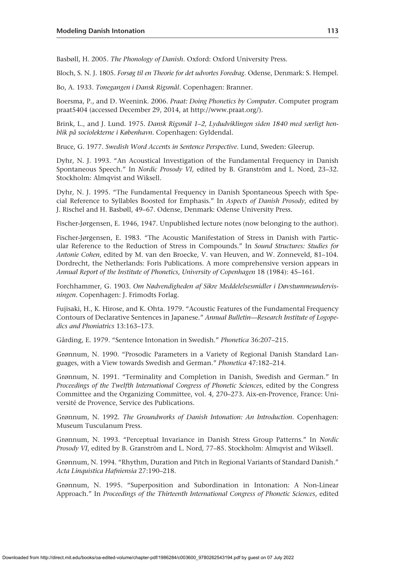Basbøll, H. 2005. *The Phonology of Danish*. Oxford: Oxford University Press.

Bloch, S. N. J. 1805. *Forsøg til en Theorie for det udvortes Foredrag*. Odense, Denmark: S. Hempel.

Bo, A. 1933. *Tonegangen i Dansk Rigsmål*. Copenhagen: Branner.

Boersma, P., and D. Weenink. 2006. *Praat: Doing Phonetics by Computer*. Computer program praat5404 (accessed December 29, 2014, at<http://www.praat.org/>).

Brink, L., and J. Lund. 1975. *Dansk Rigsmål 1–2, Lydudviklingen siden 1840 med særligt henblik på sociolekterne i København*. Copenhagen: Gyldendal.

Bruce, G. 1977. *Swedish Word Accents in Sentence Perspective*. Lund, Sweden: Gleerup.

Dyhr, N. J. 1993. "An Acoustical Investigation of the Fundamental Frequency in Danish Spontaneous Speech." In *Nordic Prosody VI*, edited by B. Granström and L. Nord, 23–32. Stockholm: Almqvist and Wiksell.

Dyhr, N. J. 1995. "The Fundamental Frequency in Danish Spontaneous Speech with Special Reference to Syllables Boosted for Emphasis." In *Aspects of Danish Prosody*, edited by J. Rischel and H. Basbøll, 49–67. Odense, Denmark: Odense University Press.

Fischer-Jørgensen, E. 1946, 1947. Unpublished lecture notes (now belonging to the author).

Fischer-Jørgensen, E. 1983. "The Acoustic Manifestation of Stress in Danish with Particular Reference to the Reduction of Stress in Compounds." In *Sound Structures: Studies for Antonie Cohen*, edited by M. van den Broecke, V. van Heuven, and W. Zonneveld, 81–104. Dordrecht, the Netherlands: Foris Publications. A more comprehensive version appears in *Annual Report of the Institute of Phonetics, University of Copenhagen* 18 (1984): 45–161.

Forchhammer, G. 1903. *Om Nødvendigheden af Sikre Meddelelsesmidler i Døvstummeundervisningen*. Copenhagen: J. Frimodts Forlag.

Fujisaki, H., K. Hirose, and K. Ohta. 1979. "Acoustic Features of the Fundamental Frequency Contours of Declarative Sentences in Japanese." *Annual Bulletin—Research Institute of Logopedics and Phoniatrics* 13:163–173.

Gårding, E. 1979. "Sentence Intonation in Swedish." *Phonetica* 36:207–215.

Grønnum, N. 1990. "Prosodic Parameters in a Variety of Regional Danish Standard Languages, with a View towards Swedish and German." *Phonetica* 47:182–214.

Grønnum, N. 1991. "Terminality and Completion in Danish, Swedish and German." In *Proceedings of the Twelfth International Congress of Phonetic Sciences*, edited by the Congress Committee and the Organizing Committee, vol. 4, 270–273. Aix-en-Provence, France: Université de Provence, Service des Publications.

Grønnum, N. 1992. *The Groundworks of Danish Intonation: An Introduction*. Copenhagen: Museum Tusculanum Press.

Grønnum, N. 1993. "Perceptual Invariance in Danish Stress Group Patterns." In *Nordic Prosody VI*, edited by B. Granström and L. Nord, 77–85. Stockholm: Almqvist and Wiksell.

Grønnum, N. 1994. "Rhythm, Duration and Pitch in Regional Variants of Standard Danish." *Acta Linquistica Hafniensia* 27:190–218.

Grønnum, N. 1995. "Superposition and Subordination in Intonation: A Non-Linear Approach." In *Proceedings of the Thirteenth International Congress of Phonetic Sciences*, edited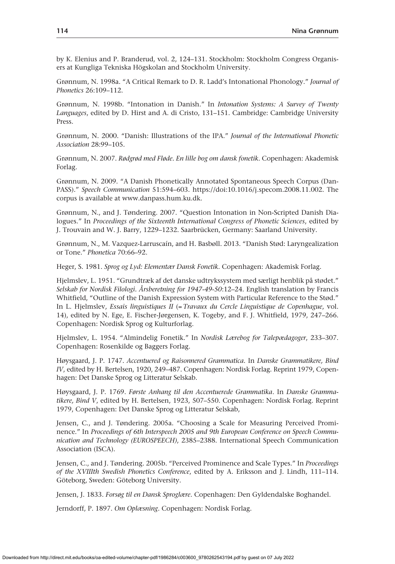by K. Elenius and P. Branderud, vol. 2, 124–131. Stockholm: Stockholm Congress Organisers at Kungliga Tekniska Högskolan and Stockholm University.

Grønnum, N. 1998a. "A Critical Remark to D. R. Ladd's Intonational Phonology." *Journal of Phonetics* 26:109–112.

Grønnum, N. 1998b. "Intonation in Danish." In *Intonation Systems: A Survey of Twenty Languages*, edited by D. Hirst and A. di Cristo, 131–151. Cambridge: Cambridge University Press.

Grønnum, N. 2000. "Danish: Illustrations of the IPA." *Journal of the International Phonetic Association* 28:99–105.

Grønnum, N. 2007. *Rødgrød med Fløde. En lille bog om dansk fonetik*. Copenhagen: Akademisk Forlag.

Grønnum, N. 2009. "A Danish Phonetically Annotated Spontaneous Speech Corpus (Dan-PASS)." *Speech Communication* 51:594–603. <https://doi:10.1016/j.specom.2008.11.002>. The corpus is available at [www.danpass.hum.ku.dk.](http://www.danpass.hum.ku.dk)

Grønnum, N., and J. Tøndering. 2007. "Question Intonation in Non-Scripted Danish Dialogues." In *Proceedings of the Sixteenth International Congress of Phonetic Sciences*, edited by J. Trouvain and W. J. Barry, 1229–1232. Saarbrücken, Germany: Saarland University.

Grønnum, N., M. Vazquez-Larruscaín, and H. Basbøll. 2013. "Danish Stød: Laryngealization or Tone." *Phonetica* 70:66–92.

Heger, S. 1981. *Sprog og Lyd: Elementær Dansk Fonetik*. Copenhagen: Akademisk Forlag.

Hjelmslev, L. 1951. "Grundtræk af det danske udtrykssystem med særligt henblik på stødet." *Selskab for Nordisk Filologi. Årsberetning for 1947-49-50*:12–24. English translation by Francis Whitfield, "Outline of the Danish Expression System with Particular Reference to the Stød." In L. Hjelmslev, *Essais linguistiques II* (= *Travaux du Cercle Linguistique de Copenhague*, vol. 14), edited by N. Ege, E. Fischer-Jørgensen, K. Togeby, and F. J. Whitfield, 1979, 247–266. Copenhagen: Nordisk Sprog og Kulturforlag.

Hjelmslev, L. 1954. "Almindelig Fonetik." In *Nordisk Lærebog for Talepædagoger*, 233–307. Copenhagen: Rosenkilde og Baggers Forlag.

Høysgaard, J. P. 1747. *Accentuered og Raisonnered Grammatica*. In *Danske Grammatikere, Bind IV*, edited by H. Bertelsen, 1920, 249–487. Copenhagen: Nordisk Forlag. Reprint 1979, Copenhagen: Det Danske Sprog og Litteratur Selskab.

Høysgaard, J. P. 1769. *Første Anhang til den Accentuerede Grammatika*. In *Danske Grammatikere, Bind V*, edited by H. Bertelsen, 1923, 507–550. Copenhagen: Nordisk Forlag. Reprint 1979, Copenhagen: Det Danske Sprog og Litteratur Selskab,

Jensen, C., and J. Tøndering. 2005a. "Choosing a Scale for Measuring Perceived Prominence." In *Proceedings of 6th Interspeech 2005 and 9th European Conference on Speech Communication and Technology (EUROSPEECH)*, 2385–2388. International Speech Communication Association (ISCA).

Jensen, C., and J. Tøndering. 2005b. "Perceived Prominence and Scale Types." In *Proceedings of the XVIIIth Swedish Phonetics Conference*, edited by A. Eriksson and J. Lindh, 111–114. Göteborg, Sweden: Göteborg University.

Jensen, J. 1833. *Forsøg til en Dansk Sproglære*. Copenhagen: Den Gyldendalske Boghandel.

Jerndorff, P. 1897. *Om Oplæsning*. Copenhagen: Nordisk Forlag.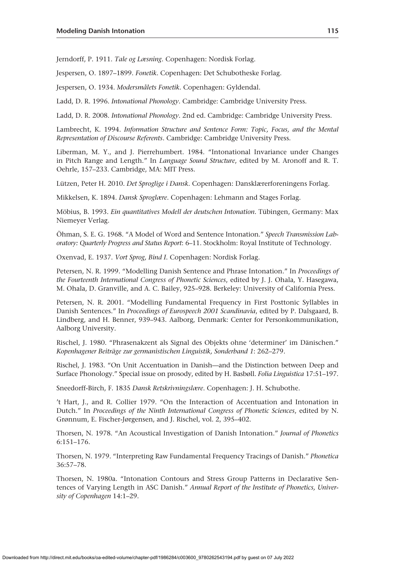Jerndorff, P. 1911. *Tale og Læsning*. Copenhagen: Nordisk Forlag.

Jespersen, O. 1897–1899. *Fonetik*. Copenhagen: Det Schubotheske Forlag.

Jespersen, O. 1934. *Modersmålets Fonetik*. Copenhagen: Gyldendal.

Ladd, D. R. 1996. *Intonational Phonology*. Cambridge: Cambridge University Press.

Ladd, D. R. 2008. *Intonational Phonology*. 2nd ed. Cambridge: Cambridge University Press.

Lambrecht, K. 1994. *Information Structure and Sentence Form: Topic, Focus, and the Mental Representation of Discourse Referents*. Cambridge: Cambridge University Press.

Liberman, M. Y., and J. Pierrehumbert. 1984. "Intonational Invariance under Changes in Pitch Range and Length." In *Language Sound Structure*, edited by M. Aronoff and R. T. Oehrle, 157–233. Cambridge, MA: MIT Press.

Lützen, Peter H. 2010. *Det Sproglige i Dansk*. Copenhagen: Dansklærerforeningens Forlag.

Mikkelsen, K. 1894. *Dansk Sproglære*. Copenhagen: Lehmann and Stages Forlag.

Möbius, B. 1993. *Ein quantitatives Modell der deutschen Intonation*. Tübingen, Germany: Max Niemeyer Verlag.

Öhman, S. E. G. 1968. "A Model of Word and Sentence Intonation." *Speech Transmission Laboratory: Quarterly Progress and Status Report*: 6–11. Stockholm: Royal Institute of Technology.

Oxenvad, E. 1937. *Vort Sprog, Bind I*. Copenhagen: Nordisk Forlag.

Petersen, N. R. 1999. "Modelling Danish Sentence and Phrase Intonation." In *Proceedings of the Fourteenth International Congress of Phonetic Sciences*, edited by J. J. Ohala, Y. Hasegawa, M. Ohala, D. Granville, and A. C. Bailey, 925–928. Berkeley: University of California Press.

Petersen, N. R. 2001. "Modelling Fundamental Frequency in First Posttonic Syllables in Danish Sentences." In *Proceedings of Eurospeech 2001 Scandinavia*, edited by P. Dalsgaard, B. Lindberg, and H. Benner, 939–943. Aalborg, Denmark: Center for Personkommunikation, Aalborg University.

Rischel, J. 1980. "Phrasenakzent als Signal des Objekts ohne 'determiner' im Dänischen." *Kopenhagener Beiträge zur germanistischen Linguistik, Sonderband 1*: 262–279.

Rischel, J. 1983. "On Unit Accentuation in Danish—and the Distinction between Deep and Surface Phonology." Special issue on prosody, edited by H. Basbøll. *Folia Linguistica* 17:51–197.

Sneedorff-Birch, F. 1835 *Dansk Retskrivningslære*. Copenhagen: J. H. Schubothe.

't Hart, J., and R. Collier 1979. "On the Interaction of Accentuation and Intonation in Dutch." In *Proceedings of the Ninth International Congress of Phonetic Sciences*, edited by N. Grønnum, E. Fischer-Jørgensen, and J. Rischel, vol. 2, 395–402.

Thorsen, N. 1978. "An Acoustical Investigation of Danish Intonation." *Journal of Phonetics* 6:151–176.

Thorsen, N. 1979. "Interpreting Raw Fundamental Frequency Tracings of Danish." *Phonetica* 36:57–78.

Thorsen, N. 1980a. "Intonation Contours and Stress Group Patterns in Declarative Sentences of Varying Length in ASC Danish." *Annual Report of the Institute of Phonetics, University of Copenhagen* 14:1–29.